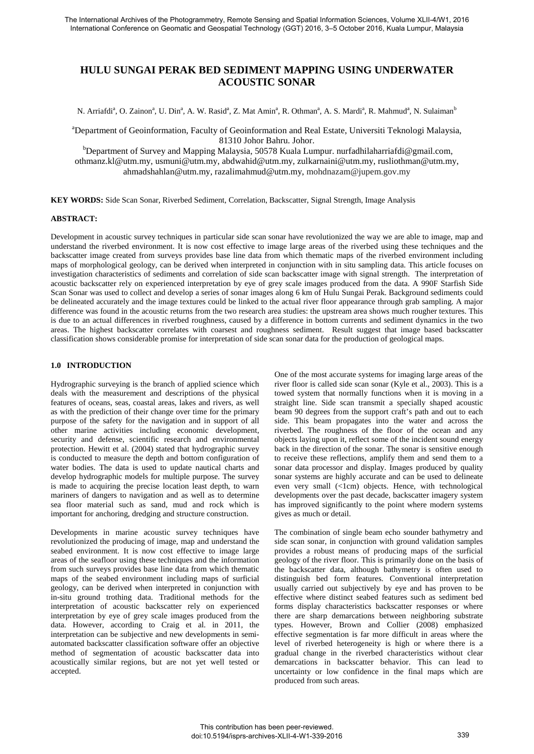# **HULU SUNGAI PERAK BED SEDIMENT MAPPING USING UNDERWATER ACOUSTIC SONAR**

N. Arriafdi<sup>a</sup>, O. Zainon<sup>a</sup>, U. Din<sup>a</sup>, A. W. Rasid<sup>a</sup>, Z. Mat Amin<sup>a</sup>, R. Othman<sup>a</sup>, A. S. Mardi<sup>a</sup>, R. Mahmud<sup>a</sup>, N. Sulaiman<sup>b</sup>

a Department of Geoinformation, Faculty of Geoinformation and Real Estate, Universiti Teknologi Malaysia,

81310 Johor Bahru. Johor.<br>Department of Survey and Mapping Malaysia, 50578 Kuala Lumpur. nurfadhilaharriafdi@gmail.com, [othmanz.kl@utm.my,](mailto:othmanz.kl@utm.my) [usmuni@utm.my,](mailto:usmuni@utm.my) [abdwahid@utm.my,](mailto:abdwahid@utm.my) [zulkarnaini@utm.my,](mailto:zulkarnaini@utm.my) [rusliothman@utm.my,](mailto:rusliothman@utm.my)  ahma[dshahlan@utm.my,](mailto:shahlan@utm.my) [razalimahmud@utm.my,](mailto:razalimahmud@utm.my) mohdnazam@jupem.gov.my

**KEY WORDS:** Side Scan Sonar, Riverbed Sediment, Correlation, Backscatter, Signal Strength, Image Analysis

# **ABSTRACT:**

Development in acoustic survey techniques in particular side scan sonar have revolutionized the way we are able to image, map and understand the riverbed environment. It is now cost effective to image large areas of the riverbed using these techniques and the backscatter image created from surveys provides base line data from which thematic maps of the riverbed environment including maps of morphological geology, can be derived when interpreted in conjunction with in situ sampling data. This article focuses on investigation characteristics of sediments and correlation of side scan backscatter image with signal strength. The interpretation of acoustic backscatter rely on experienced interpretation by eye of grey scale images produced from the data. A 990F Starfish Side Scan Sonar was used to collect and develop a series of sonar images along 6 km of Hulu Sungai Perak. Background sediments could be delineated accurately and the image textures could be linked to the actual river floor appearance through grab sampling. A major difference was found in the acoustic returns from the two research area studies: the upstream area shows much rougher textures. This is due to an actual differences in riverbed roughness, caused by a difference in bottom currents and sediment dynamics in the two areas. The highest backscatter correlates with coarsest and roughness sediment. Result suggest that image based backscatter classification shows considerable promise for interpretation of side scan sonar data for the production of geological maps.

# **1.0 INTRODUCTION**

Hydrographic surveying is the branch of applied science which deals with the measurement and descriptions of the physical features of oceans, seas, coastal areas, lakes and rivers, as well as with the prediction of their change over time for the primary purpose of the safety for the navigation and in support of all other marine activities including economic development, security and defense, scientific research and environmental protection. Hewitt et al. (2004) stated that hydrographic survey is conducted to measure the depth and bottom configuration of water bodies. The data is used to update nautical charts and develop hydrographic models for multiple purpose. The survey is made to acquiring the precise location least depth, to warn mariners of dangers to navigation and as well as to determine sea floor material such as sand, mud and rock which is important for anchoring, dredging and structure construction.

Developments in marine acoustic survey techniques have revolutionized the producing of image, map and understand the seabed environment. It is now cost effective to image large areas of the seafloor using these techniques and the information from such surveys provides base line data from which thematic maps of the seabed environment including maps of surficial geology, can be derived when interpreted in conjunction with in-situ ground trothing data. Traditional methods for the interpretation of acoustic backscatter rely on experienced interpretation by eye of grey scale images produced from the data. However, according to Craig et al. in 2011, the interpretation can be subjective and new developments in semiautomated backscatter classification software offer an objective method of segmentation of acoustic backscatter data into acoustically similar regions, but are not yet well tested or accepted.

One of the most accurate systems for imaging large areas of the river floor is called side scan sonar (Kyle et al., 2003). This is a towed system that normally functions when it is moving in a straight line. Side scan transmit a specially shaped acoustic beam 90 degrees from the support craft's path and out to each side. This beam propagates into the water and across the riverbed. The roughness of the floor of the ocean and any objects laying upon it, reflect some of the incident sound energy back in the direction of the sonar. The sonar is sensitive enough to receive these reflections, amplify them and send them to a sonar data processor and display. Images produced by quality sonar systems are highly accurate and can be used to delineate even very small (<1cm) objects. Hence, with technological developments over the past decade, backscatter imagery system has improved significantly to the point where modern systems gives as much or detail.

The combination of single beam echo sounder bathymetry and side scan sonar, in conjunction with ground validation samples provides a robust means of producing maps of the surficial geology of the river floor. This is primarily done on the basis of the backscatter data, although bathymetry is often used to distinguish bed form features. Conventional interpretation usually carried out subjectively by eye and has proven to be effective where distinct seabed features such as sediment bed forms display characteristics backscatter responses or where there are sharp demarcations between neighboring substrate types. However, Brown and Collier (2008) emphasized effective segmentation is far more difficult in areas where the level of riverbed heterogeneity is high or where there is a gradual change in the riverbed characteristics without clear demarcations in backscatter behavior. This can lead to uncertainty or low confidence in the final maps which are produced from such areas.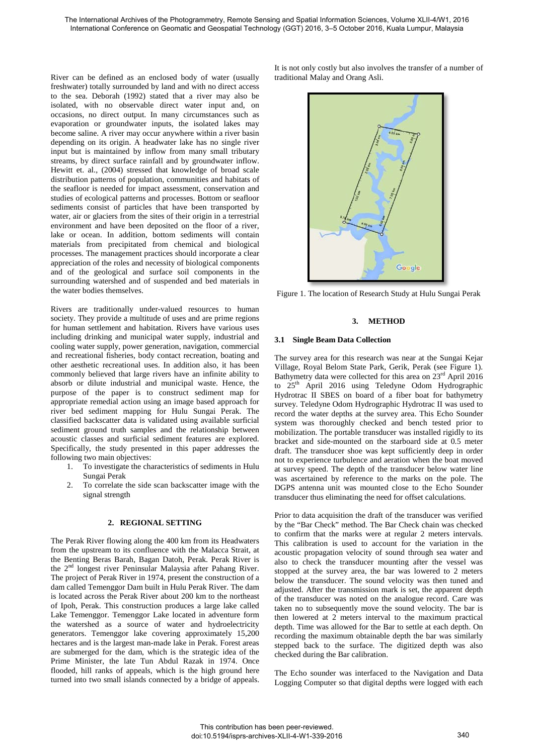River can be defined as an enclosed body of water (usually freshwater) totally surrounded by land and with no direct access to the sea. Deborah (1992) stated that a river may also be isolated, with no observable direct water input and, on occasions, no direct output. In many circumstances such as evaporation or groundwater inputs, the isolated lakes may become saline. A river may occur anywhere within a river basin depending on its origin. A headwater lake has no single river input but is maintained by inflow from many small tributary streams, by direct surface rainfall and by groundwater inflow. Hewitt et. al., (2004) stressed that knowledge of broad scale distribution patterns of population, communities and habitats of the seafloor is needed for impact assessment, conservation and studies of ecological patterns and processes. Bottom or seafloor sediments consist of particles that have been transported by water, air or glaciers from the sites of their origin in a terrestrial environment and have been deposited on the floor of a river, lake or ocean. In addition, bottom sediments will contain materials from precipitated from chemical and biological processes. The management practices should incorporate a clear appreciation of the roles and necessity of biological components and of the geological and surface soil components in the surrounding watershed and of suspended and bed materials in the water bodies themselves.

Rivers are traditionally under-valued resources to human society. They provide a multitude of uses and are prime regions for human settlement and habitation. Rivers have various uses including drinking and municipal water supply, industrial and cooling water supply, power generation, navigation, commercial and recreational fisheries, body contact recreation, boating and other aesthetic recreational uses. In addition also, it has been commonly believed that large rivers have an infinite ability to absorb or dilute industrial and municipal waste. Hence, the purpose of the paper is to construct sediment map for appropriate remedial action using an image based approach for river bed sediment mapping for Hulu Sungai Perak. The classified backscatter data is validated using available surficial sediment ground truth samples and the relationship between acoustic classes and surficial sediment features are explored. Specifically, the study presented in this paper addresses the following two main objectives:<br>1. To investigate the cha

- 1. To investigate the characteristics of sediments in Hulu Sungai Perak
- 2. To correlate the side scan backscatter image with the signal strength

# **2. REGIONAL SETTING**

The Perak River flowing along the 400 km from its Headwaters from the upstream to its confluence with the Malacca Strait, at the Benting Beras Barah, Bagan Datoh, Perak. Perak River is the 2nd longest river Peninsular Malaysia after Pahang River. The project of Perak River in 1974, present the construction of a dam called Temenggor Dam built in Hulu Perak River. The dam is located across the Perak River about 200 km to the northeast of Ipoh, Perak. This construction produces a large lake called Lake Temenggor. Temenggor Lake located in adventure form the watershed as a source of water and hydroelectricity generators. Temenggor lake covering approximately 15,200 hectares and is the largest man-made lake in Perak. Forest areas are submerged for the dam, which is the strategic idea of the Prime Minister, the late Tun Abdul Razak in 1974. Once flooded, hill ranks of appeals, which is the high ground here turned into two small islands connected by a bridge of appeals.

It is not only costly but also involves the transfer of a number of traditional Malay and Orang Asli.



Figure 1. The location of Research Study at Hulu Sungai Perak

## **3. METHOD**

#### **3.1 Single Beam Data Collection**

The survey area for this research was near at the Sungai Kejar Village, Royal Belom State Park, Gerik, Perak (see Figure 1). Bathymetry data were collected for this area on 23<sup>rd</sup> April 2016 to 25th April 2016 using Teledyne Odom Hydrographic Hydrotrac II SBES on board of a fiber boat for bathymetry survey. Teledyne Odom Hydrographic Hydrotrac II was used to record the water depths at the survey area. This Echo Sounder system was thoroughly checked and bench tested prior to mobilization. The portable transducer was installed rigidly to its bracket and side-mounted on the starboard side at 0.5 meter draft. The transducer shoe was kept sufficiently deep in order not to experience turbulence and aeration when the boat moved at survey speed. The depth of the transducer below water line was ascertained by reference to the marks on the pole. The DGPS antenna unit was mounted close to the Echo Sounder transducer thus eliminating the need for offset calculations.

Prior to data acquisition the draft of the transducer was verified by the "Bar Check" method. The Bar Check chain was checked to confirm that the marks were at regular 2 meters intervals. This calibration is used to account for the variation in the acoustic propagation velocity of sound through sea water and also to check the transducer mounting after the vessel was stopped at the survey area, the bar was lowered to 2 meters below the transducer. The sound velocity was then tuned and adjusted. After the transmission mark is set, the apparent depth of the transducer was noted on the analogue record. Care was taken no to subsequently move the sound velocity. The bar is then lowered at 2 meters interval to the maximum practical depth. Time was allowed for the Bar to settle at each depth. On recording the maximum obtainable depth the bar was similarly stepped back to the surface. The digitized depth was also checked during the Bar calibration.

The Echo sounder was interfaced to the Navigation and Data Logging Computer so that digital depths were logged with each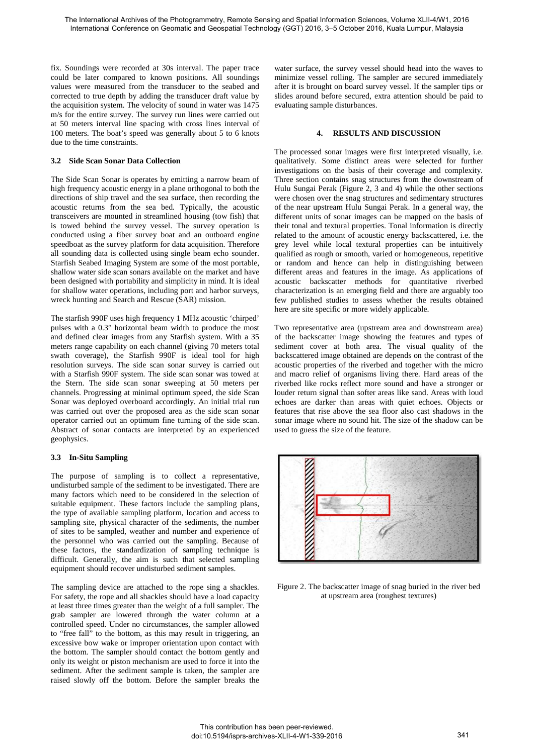fix. Soundings were recorded at 30s interval. The paper trace could be later compared to known positions. All soundings values were measured from the transducer to the seabed and corrected to true depth by adding the transducer draft value by the acquisition system. The velocity of sound in water was 1475 m/s for the entire survey. The survey run lines were carried out at 50 meters interval line spacing with cross lines interval of 100 meters. The boat's speed was generally about 5 to 6 knots due to the time constraints.

# **3.2 Side Scan Sonar Data Collection**

The Side Scan Sonar is operates by emitting a narrow beam of high frequency acoustic energy in a plane orthogonal to both the directions of ship travel and the sea surface, then recording the acoustic returns from the sea bed. Typically, the acoustic transceivers are mounted in streamlined housing (tow fish) that is towed behind the survey vessel. The survey operation is conducted using a fiber survey boat and an outboard engine speedboat as the survey platform for data acquisition. Therefore all sounding data is collected using single beam echo sounder. Starfish Seabed Imaging System are some of the most portable, shallow water side scan sonars available on the market and have been designed with portability and simplicity in mind. It is ideal for shallow water operations, including port and harbor surveys, wreck hunting and Search and Rescue (SAR) mission.

The starfish 990F uses high frequency 1 MHz acoustic 'chirped' pulses with a 0.3° horizontal beam width to produce the most and defined clear images from any Starfish system. With a 35 meters range capability on each channel (giving 70 meters total swath coverage), the Starfish 990F is ideal tool for high resolution surveys. The side scan sonar survey is carried out with a Starfish 990F system. The side scan sonar was towed at the Stern. The side scan sonar sweeping at 50 meters per channels. Progressing at minimal optimum speed, the side Scan Sonar was deployed overboard accordingly. An initial trial run was carried out over the proposed area as the side scan sonar operator carried out an optimum fine turning of the side scan. Abstract of sonar contacts are interpreted by an experienced geophysics.

#### **3.3 In-Situ Sampling**

The purpose of sampling is to collect a representative, undisturbed sample of the sediment to be investigated. There are many factors which need to be considered in the selection of suitable equipment. These factors include the sampling plans, the type of available sampling platform, location and access to sampling site, physical character of the sediments, the number of sites to be sampled, weather and number and experience of the personnel who was carried out the sampling. Because of these factors, the standardization of sampling technique is difficult. Generally, the aim is such that selected sampling equipment should recover undisturbed sediment samples.

The sampling device are attached to the rope sing a shackles. For safety, the rope and all shackles should have a load capacity at least three times greater than the weight of a full sampler. The grab sampler are lowered through the water column at a controlled speed. Under no circumstances, the sampler allowed to "free fall" to the bottom, as this may result in triggering, an excessive bow wake or improper orientation upon contact with the bottom. The sampler should contact the bottom gently and only its weight or piston mechanism are used to force it into the sediment. After the sediment sample is taken, the sampler are raised slowly off the bottom. Before the sampler breaks the

water surface, the survey vessel should head into the waves to minimize vessel rolling. The sampler are secured immediately after it is brought on board survey vessel. If the sampler tips or slides around before secured, extra attention should be paid to evaluating sample disturbances.

# **4. RESULTS AND DISCUSSION**

The processed sonar images were first interpreted visually, i.e. qualitatively. Some distinct areas were selected for further investigations on the basis of their coverage and complexity. Three section contains snag structures from the downstream of Hulu Sungai Perak (Figure 2, 3 and 4) while the other sections were chosen over the snag structures and sedimentary structures of the near upstream Hulu Sungai Perak. In a general way, the different units of sonar images can be mapped on the basis of their tonal and textural properties. Tonal information is directly related to the amount of acoustic energy backscattered, i.e. the grey level while local textural properties can be intuitively qualified as rough or smooth, varied or homogeneous, repetitive or random and hence can help in distinguishing between different areas and features in the image. As applications of acoustic backscatter methods for quantitative riverbed characterization is an emerging field and there are arguably too few published studies to assess whether the results obtained here are site specific or more widely applicable.

Two representative area (upstream area and downstream area) of the backscatter image showing the features and types of sediment cover at both area. The visual quality of the backscattered image obtained are depends on the contrast of the acoustic properties of the riverbed and together with the micro and macro relief of organisms living there. Hard areas of the riverbed like rocks reflect more sound and have a stronger or louder return signal than softer areas like sand. Areas with loud echoes are darker than areas with quiet echoes. Objects or features that rise above the sea floor also cast shadows in the sonar image where no sound hit. The size of the shadow can be used to guess the size of the feature.



Figure 2. The backscatter image of snag buried in the river bed at upstream area (roughest textures)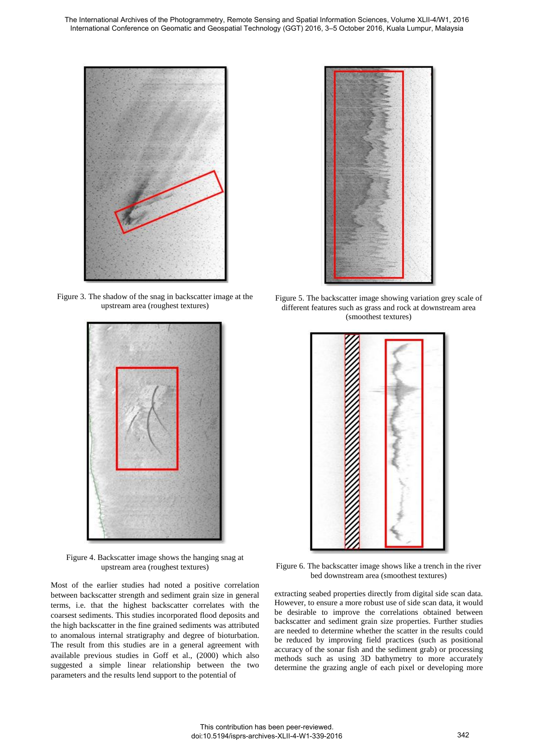The International Archives of the Photogrammetry, Remote Sensing and Spatial Information Sciences, Volume XLII-4/W1, 2016 International Conference on Geomatic and Geospatial Technology (GGT) 2016, 3–5 October 2016, Kuala Lumpur, Malaysia



Figure 3. The shadow of the snag in backscatter image at the upstream area (roughest textures)



Figure 4. Backscatter image shows the hanging snag at upstream area (roughest textures)

Most of the earlier studies had noted a positive correlation between backscatter strength and sediment grain size in general terms, i.e. that the highest backscatter correlates with the coarsest sediments. This studies incorporated flood deposits and the high backscatter in the fine grained sediments was attributed to anomalous internal stratigraphy and degree of bioturbation. The result from this studies are in a general agreement with available previous studies in Goff et al., (2000) which also suggested a simple linear relationship between the two parameters and the results lend support to the potential of



Figure 5. The backscatter image showing variation grey scale of different features such as grass and rock at downstream area (smoothest textures)



Figure 6. The backscatter image shows like a trench in the river bed downstream area (smoothest textures)

extracting seabed properties directly from digital side scan data. However, to ensure a more robust use of side scan data, it would be desirable to improve the correlations obtained between backscatter and sediment grain size properties. Further studies are needed to determine whether the scatter in the results could be reduced by improving field practices (such as positional accuracy of the sonar fish and the sediment grab) or processing methods such as using 3D bathymetry to more accurately determine the grazing angle of each pixel or developing more